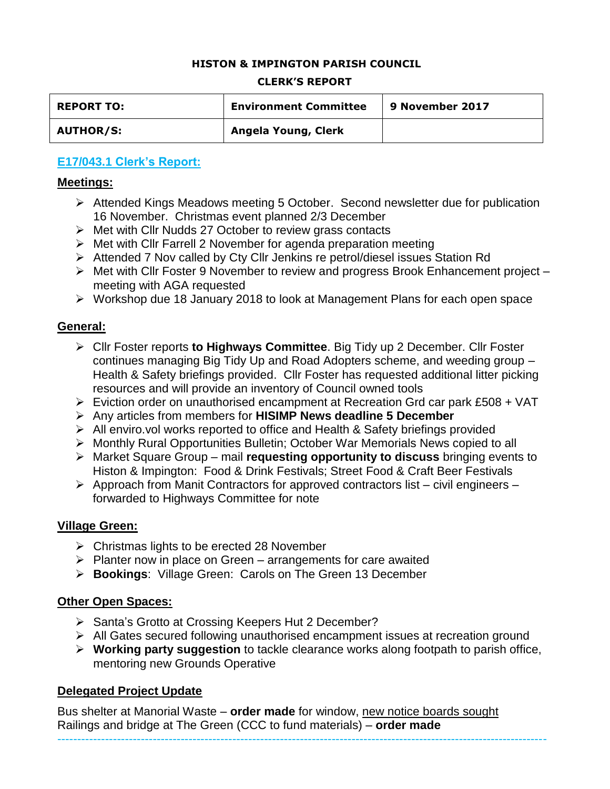### **HISTON & IMPINGTON PARISH COUNCIL**

#### **CLERK'S REPORT**

| <b>REPORT TO:</b> | <b>Environment Committee</b> | 9 November 2017 |
|-------------------|------------------------------|-----------------|
| <b>AUTHOR/S:</b>  | Angela Young, Clerk          |                 |

# **E17/043.1 Clerk's Report:**

### **Meetings:**

- Attended Kings Meadows meeting 5 October. Second newsletter due for publication 16 November. Christmas event planned 2/3 December
- $\triangleright$  Met with Cllr Nudds 27 October to review grass contacts
- $\triangleright$  Met with Cllr Farrell 2 November for agenda preparation meeting
- Attended 7 Nov called by Cty Cllr Jenkins re petrol/diesel issues Station Rd
- Met with Cllr Foster 9 November to review and progress Brook Enhancement project meeting with AGA requested
- Workshop due 18 January 2018 to look at Management Plans for each open space

### **General:**

- Cllr Foster reports **to Highways Committee**. Big Tidy up 2 December. Cllr Foster continues managing Big Tidy Up and Road Adopters scheme, and weeding group – Health & Safety briefings provided. Cllr Foster has requested additional litter picking resources and will provide an inventory of Council owned tools
- $\triangleright$  Eviction order on unauthorised encampment at Recreation Grd car park £508 + VAT
- Any articles from members for **HISIMP News deadline 5 December**
- $\triangleright$  All enviro.vol works reported to office and Health & Safety briefings provided
- Monthly Rural Opportunities Bulletin; October War Memorials News copied to all
- Market Square Group mail **requesting opportunity to discuss** bringing events to Histon & Impington: Food & Drink Festivals; Street Food & Craft Beer Festivals
- $\triangleright$  Approach from Manit Contractors for approved contractors list civil engineers forwarded to Highways Committee for note

### **Village Green:**

- $\triangleright$  Christmas lights to be erected 28 November
- $\triangleright$  Planter now in place on Green arrangements for care awaited
- **Bookings**: Village Green: Carols on The Green 13 December

### **Other Open Spaces:**

- ▶ Santa's Grotto at Crossing Keepers Hut 2 December?
- All Gates secured following unauthorised encampment issues at recreation ground

---------------------------------------------------------------------------------------------------------------------------

 **Working party suggestion** to tackle clearance works along footpath to parish office, mentoring new Grounds Operative

# **Delegated Project Update**

Bus shelter at Manorial Waste – **order made** for window, new notice boards sought Railings and bridge at The Green (CCC to fund materials) – **order made**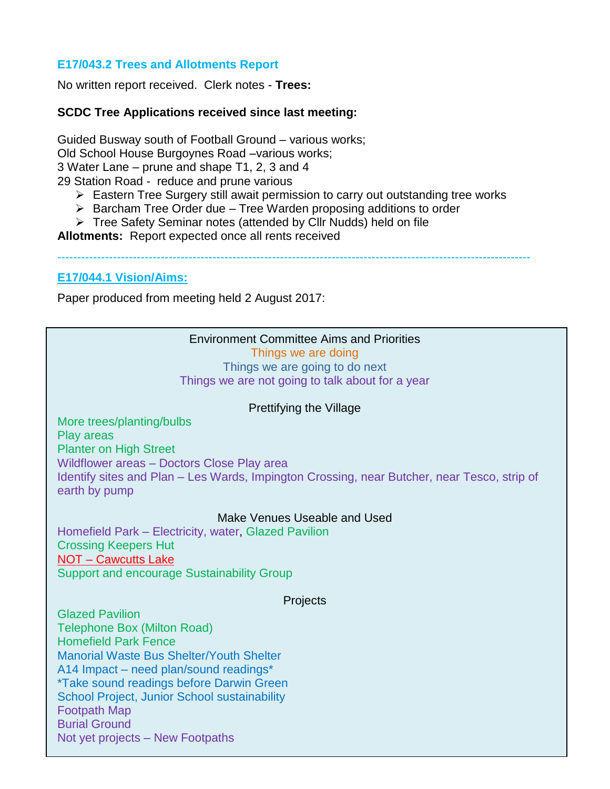## **E17/043.2 Trees and Allotments Report**

No written report received. Clerk notes - **Trees:**

### **SCDC Tree Applications received since last meeting:**

Guided Busway south of Football Ground – various works; Old School House Burgoynes Road –various works; 3 Water Lane – prune and shape T1, 2, 3 and 4 29 Station Road - reduce and prune various

- $\triangleright$  Eastern Tree Surgery still await permission to carry out outstanding tree works
- $\triangleright$  Barcham Tree Order due Tree Warden proposing additions to order
- Tree Safety Seminar notes (attended by Cllr Nudds) held on file

**Allotments:** Report expected once all rents received

-----------------------------------------------------------------------------------------------------------------------

#### **E17/044.1 Vision/Aims:**

Paper produced from meeting held 2 August 2017:

### Environment Committee Aims and Priorities

Things we are doing

Things we are going to do next Things we are not going to talk about for a year

#### Prettifying the Village

More trees/planting/bulbs Play areas Planter on High Street Wildflower areas – Doctors Close Play area Identify sites and Plan – Les Wards, Impington Crossing, near Butcher, near Tesco, strip of earth by pump

### Make Venues Useable and Used

Homefield Park – Electricity, water, Glazed Pavilion Crossing Keepers Hut NOT – Cawcutts Lake Support and encourage Sustainability Group

#### **Projects**

Glazed Pavilion Telephone Box (Milton Road) Homefield Park Fence Manorial Waste Bus Shelter/Youth Shelter A14 Impact – need plan/sound readings\* \*Take sound readings before Darwin Green School Project, Junior School sustainability Footpath Map Burial Ground Not yet projects – New Footpaths